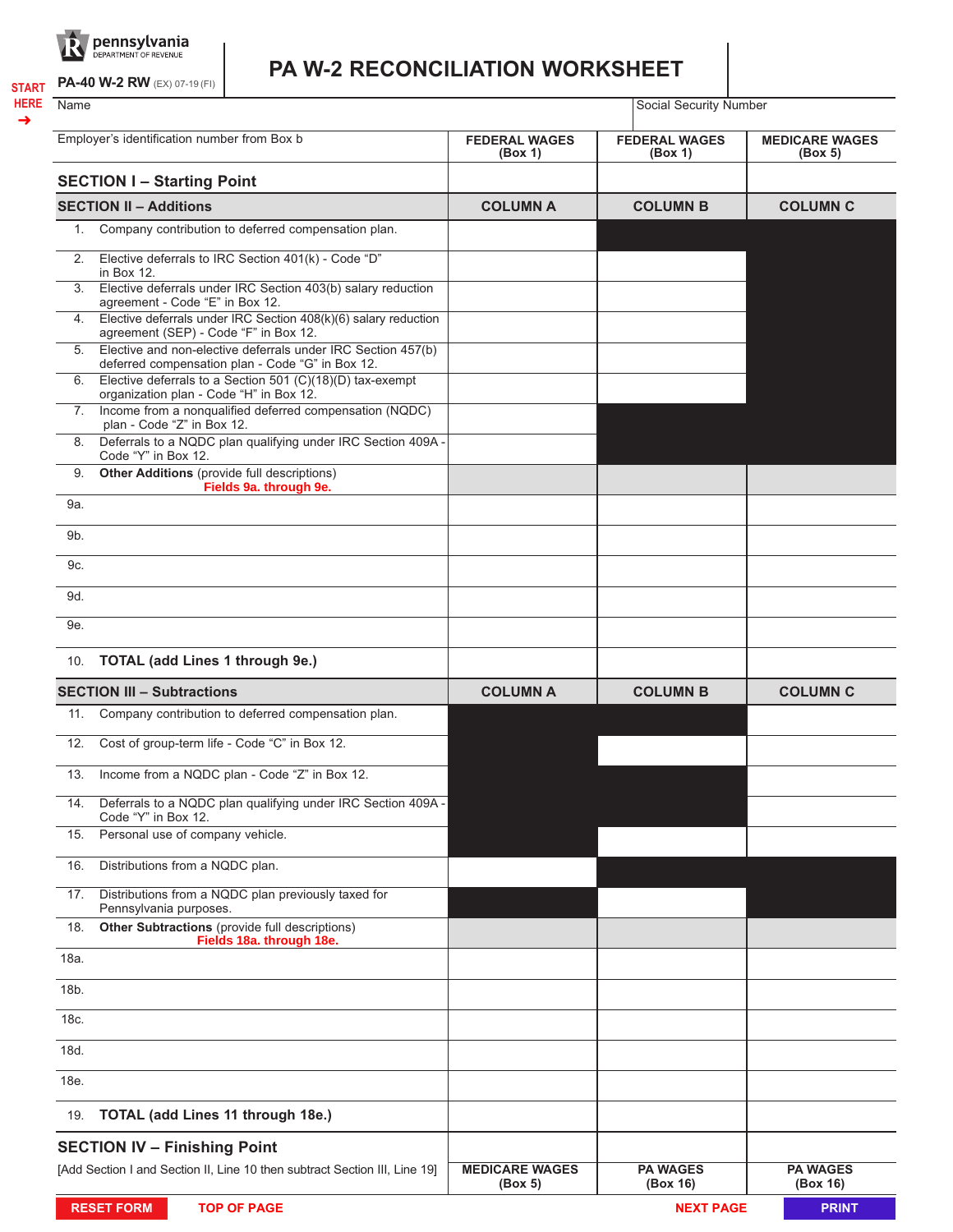

**PA-40 W-2 RW** (EX) 07-19 (FI) **START**

**HERE** ➜

## **PA W-2 RECONCILIATION WORKSHEET**

Name Social Security Number

| Employer's identification number from Box b |                                                                                                                  | <b>FEDERAL WAGES</b><br>(Box 1)  | <b>FEDERAL WAGES</b><br>(Box 1) | <b>MEDICARE WAGES</b><br>(Box 5) |
|---------------------------------------------|------------------------------------------------------------------------------------------------------------------|----------------------------------|---------------------------------|----------------------------------|
|                                             | <b>SECTION I-Starting Point</b>                                                                                  |                                  |                                 |                                  |
|                                             | <b>SECTION II - Additions</b>                                                                                    | <b>COLUMN A</b>                  | <b>COLUMN B</b>                 | <b>COLUMN C</b>                  |
| 1.                                          | Company contribution to deferred compensation plan.                                                              |                                  |                                 |                                  |
| 2.                                          | Elective deferrals to IRC Section 401(k) - Code "D"<br>in Box 12.                                                |                                  |                                 |                                  |
| 3.                                          | Elective deferrals under IRC Section 403(b) salary reduction<br>agreement - Code "E" in Box 12.                  |                                  |                                 |                                  |
| 4.                                          | Elective deferrals under IRC Section $408(k)(6)$ salary reduction<br>agreement (SEP) - Code "F" in Box 12.       |                                  |                                 |                                  |
| 5.                                          | Elective and non-elective deferrals under IRC Section 457(b)<br>deferred compensation plan - Code "G" in Box 12. |                                  |                                 |                                  |
| 6.                                          | Elective deferrals to a Section 501 (C)(18)(D) tax-exempt<br>organization plan - Code "H" in Box 12.             |                                  |                                 |                                  |
| 7.                                          | Income from a nonqualified deferred compensation (NQDC)<br>plan - Code "Z" in Box 12.                            |                                  |                                 |                                  |
| 8.                                          | Deferrals to a NQDC plan qualifying under IRC Section 409A -<br>Code "Y" in Box 12.                              |                                  |                                 |                                  |
| 9.                                          | <b>Other Additions</b> (provide full descriptions)<br>Fields 9a. through 9e.                                     |                                  |                                 |                                  |
| 9a.                                         |                                                                                                                  |                                  |                                 |                                  |
| 9b.                                         |                                                                                                                  |                                  |                                 |                                  |
| 9c.                                         |                                                                                                                  |                                  |                                 |                                  |
| 9d.                                         |                                                                                                                  |                                  |                                 |                                  |
| 9e.                                         |                                                                                                                  |                                  |                                 |                                  |
| 10.                                         | <b>TOTAL (add Lines 1 through 9e.)</b>                                                                           |                                  |                                 |                                  |
| <b>SECTION III - Subtractions</b>           |                                                                                                                  | <b>COLUMN A</b>                  | <b>COLUMN B</b>                 | <b>COLUMN C</b>                  |
| 11.                                         | Company contribution to deferred compensation plan.                                                              |                                  |                                 |                                  |
| 12.                                         | Cost of group-term life - Code "C" in Box 12.                                                                    |                                  |                                 |                                  |
| 13.                                         | Income from a NQDC plan - Code "Z" in Box 12.                                                                    |                                  |                                 |                                  |
| 14.                                         | Deferrals to a NQDC plan qualifying under IRC Section 409A -<br>Code "Y" in Box 12.                              |                                  |                                 |                                  |
| 15.                                         | Personal use of company vehicle.                                                                                 |                                  |                                 |                                  |
| 16.                                         | Distributions from a NQDC plan.                                                                                  |                                  |                                 |                                  |
| 17.                                         | Distributions from a NQDC plan previously taxed for<br>Pennsylvania purposes.                                    |                                  |                                 |                                  |
| 18.                                         | Other Subtractions (provide full descriptions)<br>Fields 18a. through 18e.                                       |                                  |                                 |                                  |
| 18a.                                        |                                                                                                                  |                                  |                                 |                                  |
| 18b.                                        |                                                                                                                  |                                  |                                 |                                  |
| 18c.                                        |                                                                                                                  |                                  |                                 |                                  |
| 18d.                                        |                                                                                                                  |                                  |                                 |                                  |
| 18e.                                        |                                                                                                                  |                                  |                                 |                                  |
| 19.                                         | TOTAL (add Lines 11 through 18e.)                                                                                |                                  |                                 |                                  |
|                                             | <b>SECTION IV - Finishing Point</b>                                                                              |                                  |                                 |                                  |
|                                             | [Add Section I and Section II, Line 10 then subtract Section III, Line 19]                                       | <b>MEDICARE WAGES</b><br>(Box 5) | <b>PA WAGES</b><br>(Box 16)     | <b>PA WAGES</b><br>(Box 16)      |
|                                             | <b>RESET FORM</b><br><b>TOP OF PAGE</b>                                                                          |                                  | <b>NEXT PAGE</b>                | <b>PRINT</b>                     |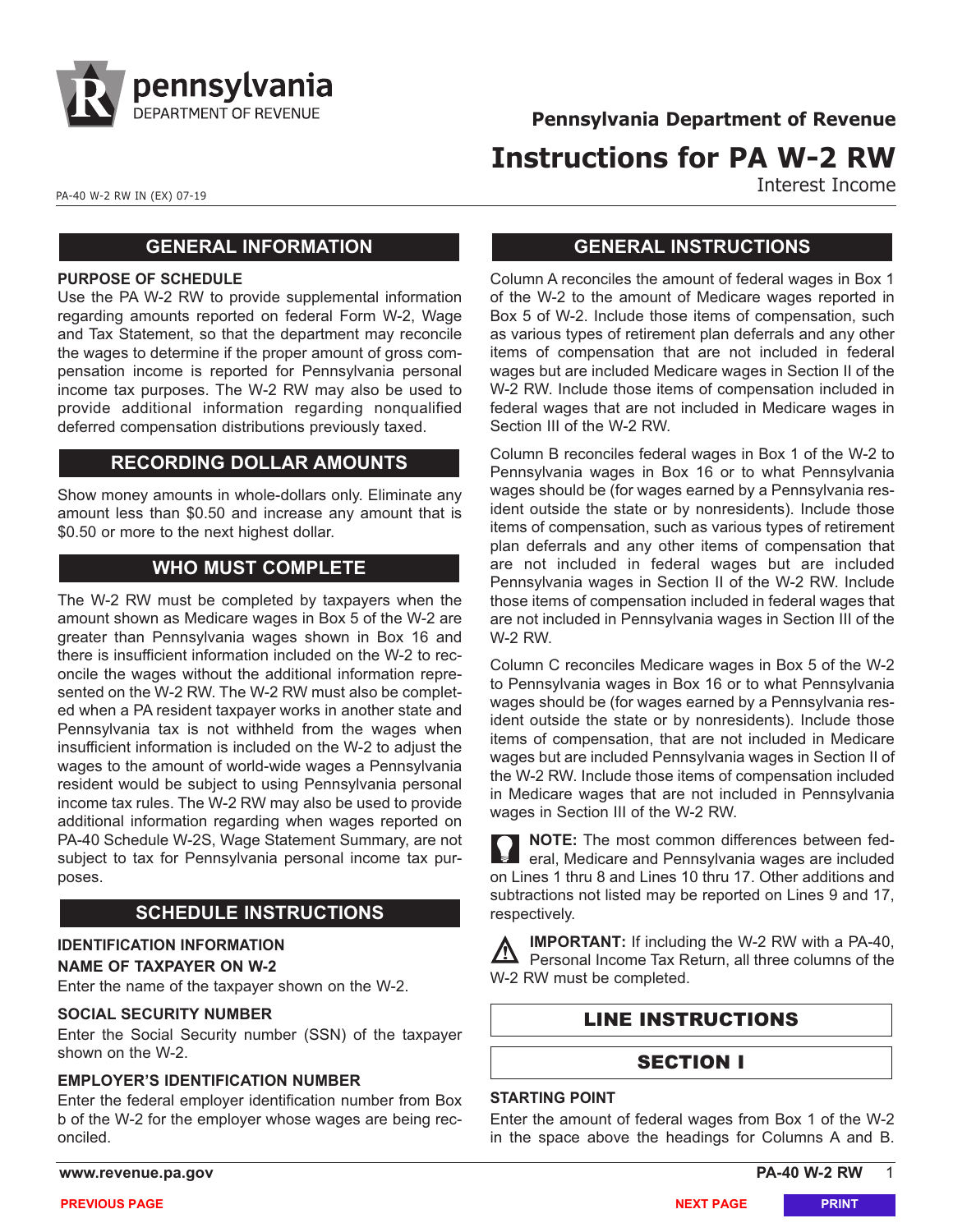

**Pennsylvania Department of Revenue**

# **Instructions for PA W-2 RW**

Interest Income

PA-40 W-2 RW IN (EX) 07-19

## **GENERAL INFORMATION**

#### **PURPOSE OF SCHEDULE**

Use the PA W-2 RW to provide supplemental information regarding amounts reported on federal Form W-2, Wage and Tax Statement, so that the department may reconcile the wages to determine if the proper amount of gross compensation income is reported for Pennsylvania personal income tax purposes. The W-2 RW may also be used to provide additional information regarding nonqualified deferred compensation distributions previously taxed.

## **RECORDING DOLLAR AMOUNTS**

Show money amounts in whole-dollars only. Eliminate any amount less than \$0.50 and increase any amount that is \$0.50 or more to the next highest dollar.

## **WHO MUST COMPLETE**

The W-2 RW must be completed by taxpayers when the amount shown as Medicare wages in Box 5 of the W-2 are greater than Pennsylvania wages shown in Box 16 and there is insufficient information included on the W-2 to reconcile the wages without the additional information represented on the W-2 RW. The W-2 RW must also be completed when a PA resident taxpayer works in another state and Pennsylvania tax is not withheld from the wages when insufficient information is included on the W-2 to adjust the wages to the amount of world-wide wages a Pennsylvania resident would be subject to using Pennsylvania personal income tax rules. The W-2 RW may also be used to provide additional information regarding when wages reported on PA-40 Schedule W-2S, Wage Statement Summary, are not subject to tax for Pennsylvania personal income tax purposes.

## **SCHEDULE INSTRUCTIONS**

## **IDENTIFICATION INFORMATION**

**NAME OF TAXPAYER ON W-2**

Enter the name of the taxpayer shown on the W-2.

#### **SOCIAL SECURITY NUMBER**

Enter the Social Security number (SSN) of the taxpayer shown on the W-2.

#### **EMPLOYER'S IDENTIFICATION NUMBER**

Enter the federal employer identification number from Box b of the W-2 for the employer whose wages are being reconciled.

## **GENERAL INSTRUCTIONS**

Column A reconciles the amount of federal wages in Box 1 of the W-2 to the amount of Medicare wages reported in Box 5 of W-2. Include those items of compensation, such as various types of retirement plan deferrals and any other items of compensation that are not included in federal wages but are included Medicare wages in Section II of the W-2 RW. Include those items of compensation included in federal wages that are not included in Medicare wages in Section III of the W-2 RW.

Column B reconciles federal wages in Box 1 of the W-2 to Pennsylvania wages in Box 16 or to what Pennsylvania wages should be (for wages earned by a Pennsylvania resident outside the state or by nonresidents). Include those items of compensation, such as various types of retirement plan deferrals and any other items of compensation that are not included in federal wages but are included Pennsylvania wages in Section II of the W-2 RW. Include those items of compensation included in federal wages that are not included in Pennsylvania wages in Section III of the W-2 RW.

Column C reconciles Medicare wages in Box 5 of the W-2 to Pennsylvania wages in Box 16 or to what Pennsylvania wages should be (for wages earned by a Pennsylvania resident outside the state or by nonresidents). Include those items of compensation, that are not included in Medicare wages but are included Pennsylvania wages in Section II of the W-2 RW. Include those items of compensation included in Medicare wages that are not included in Pennsylvania wages in Section III of the W-2 RW.

**NOTE:** The most common differences between federal, Medicare and Pennsylvania wages are included on Lines 1 thru 8 and Lines 10 thru 17. Other additions and subtractions not listed may be reported on Lines 9 and 17, respectively.

**IMPORTANT:** If including the W-2 RW with a PA-40, /!\ Personal Income Tax Return, all three columns of the W-2 RW must be completed.

## LINE INSTRUCTIONS

## SECTION I

#### **STARTING POINT**

Enter the amount of federal wages from Box 1 of the W-2 in the space above the headings for Columns A and B.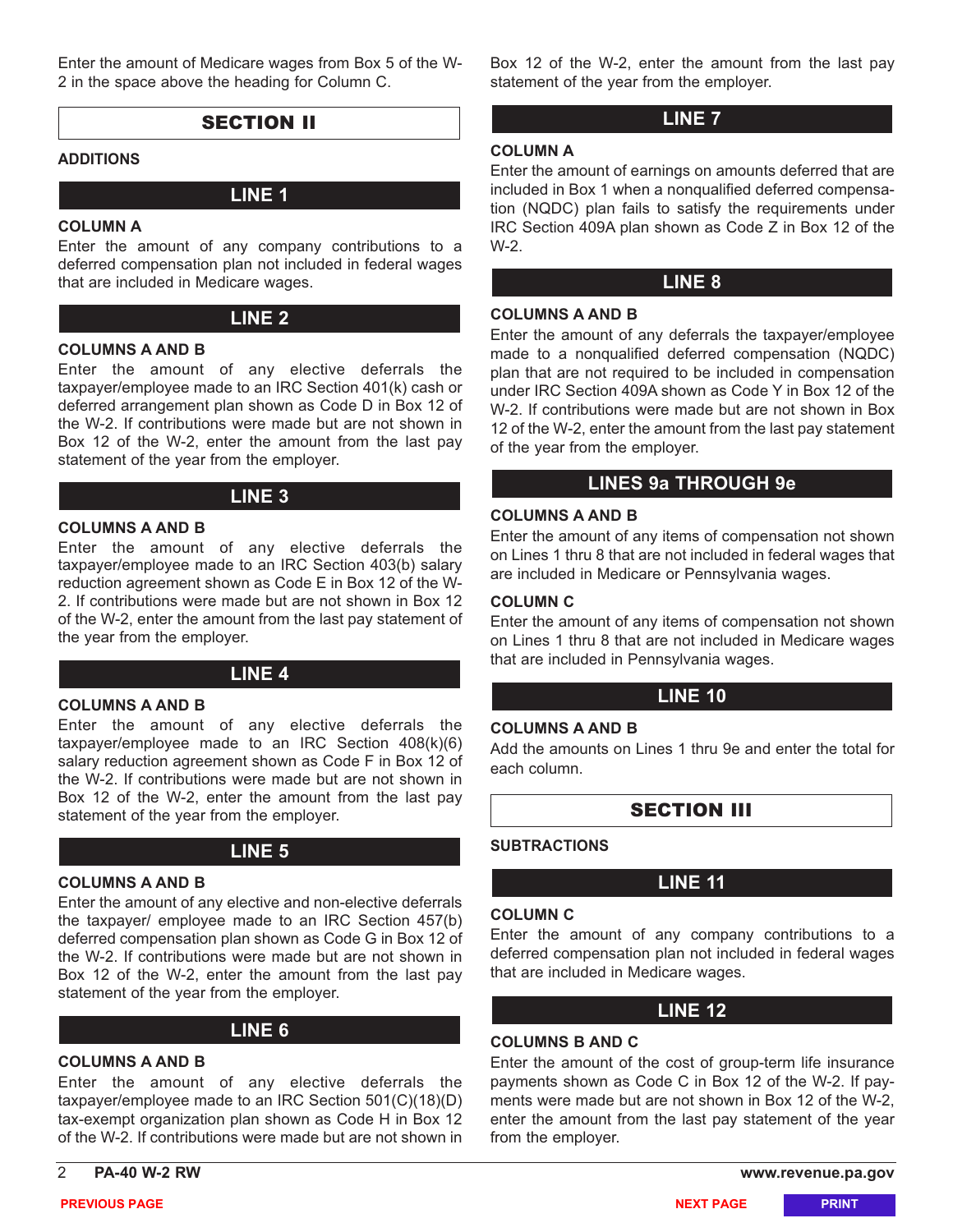Enter the amount of Medicare wages from Box 5 of the W-2 in the space above the heading for Column C.

## SECTION II

#### **ADDITIONS**

## **LINE 1**

#### **COLUMN A**

Enter the amount of any company contributions to a deferred compensation plan not included in federal wages that are included in Medicare wages.

### **LINE 2**

#### **COLUMNS A AND B**

Enter the amount of any elective deferrals the taxpayer/employee made to an IRC Section 401(k) cash or deferred arrangement plan shown as Code D in Box 12 of the W-2. If contributions were made but are not shown in Box 12 of the W-2, enter the amount from the last pay statement of the year from the employer.

## **LINE 3**

#### **COLUMNS A AND B**

Enter the amount of any elective deferrals the taxpayer/employee made to an IRC Section 403(b) salary reduction agreement shown as Code E in Box 12 of the W-2. If contributions were made but are not shown in Box 12 of the W-2, enter the amount from the last pay statement of the year from the employer.

## **LINE 4**

#### **COLUMNS A AND B**

Enter the amount of any elective deferrals the taxpayer/employee made to an IRC Section 408(k)(6) salary reduction agreement shown as Code F in Box 12 of the W-2. If contributions were made but are not shown in Box 12 of the W-2, enter the amount from the last pay statement of the year from the employer.

## **LINE 5**

#### **COLUMNS A AND B**

Enter the amount of any elective and non-elective deferrals the taxpayer/ employee made to an IRC Section 457(b) deferred compensation plan shown as Code G in Box 12 of the W-2. If contributions were made but are not shown in Box 12 of the W-2, enter the amount from the last pay statement of the year from the employer.

## **LINE 6**

## **COLUMNS A AND B**

Enter the amount of any elective deferrals the taxpayer/employee made to an IRC Section 501(C)(18)(D) tax-exempt organization plan shown as Code H in Box 12 of the W-2. If contributions were made but are not shown in

Box 12 of the W-2, enter the amount from the last pay statement of the year from the employer.

## **LINE 7**

#### **COLUMN A**

Enter the amount of earnings on amounts deferred that are included in Box 1 when a nonqualified deferred compensation (NQDC) plan fails to satisfy the requirements under IRC Section 409A plan shown as Code Z in Box 12 of the W-2.

## **LINE 8**

#### **COLUMNS A AND B**

Enter the amount of any deferrals the taxpayer/employee made to a nonqualified deferred compensation (NQDC) plan that are not required to be included in compensation under IRC Section 409A shown as Code Y in Box 12 of the W-2. If contributions were made but are not shown in Box 12 of the W-2, enter the amount from the last pay statement of the year from the employer.

## **LINES 9a THROUGH 9e**

## **COLUMNS A AND B**

Enter the amount of any items of compensation not shown on Lines 1 thru 8 that are not included in federal wages that are included in Medicare or Pennsylvania wages.

#### **COLUMN C**

Enter the amount of any items of compensation not shown on Lines 1 thru 8 that are not included in Medicare wages that are included in Pennsylvania wages.

## **LINE 10**

#### **COLUMNS A AND B**

Add the amounts on Lines 1 thru 9e and enter the total for each column.

## SECTION III

#### **SUBTRACTIONS**

## **LINE 11**

#### **COLUMN C**

Enter the amount of any company contributions to a deferred compensation plan not included in federal wages that are included in Medicare wages.

## **LINE 12**

#### **COLUMNS B AND C**

Enter the amount of the cost of group-term life insurance payments shown as Code C in Box 12 of the W-2. If payments were made but are not shown in Box 12 of the W-2, enter the amount from the last pay statement of the year from the employer.

**PREVIOUS PAGE NEXT PAGE PRINT**